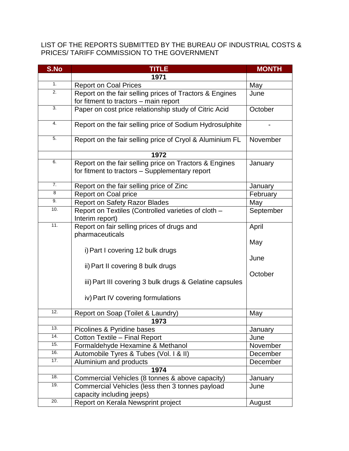LIST OF THE REPORTS SUBMITTED BY THE BUREAU OF INDUSTRIAL COSTS & PRICES/ TARIFF COMMISSION TO THE GOVERNMENT

| S.No             | <b>TITLE</b>                                             | <b>MONTH</b> |
|------------------|----------------------------------------------------------|--------------|
|                  | 1971                                                     |              |
| 1.               | <b>Report on Coal Prices</b>                             | May          |
| $\overline{2}$ . | Report on the fair selling prices of Tractors & Engines  | June         |
|                  | for fitment to tractors - main report                    |              |
| 3.               | Paper on cost price relationship study of Citric Acid    | October      |
| 4.               |                                                          |              |
|                  | Report on the fair selling price of Sodium Hydrosulphite |              |
| 5.               | Report on the fair selling price of Cryol & Aluminium FL | November     |
|                  | 1972                                                     |              |
| 6.               | Report on the fair selling price on Tractors & Engines   | January      |
|                  | for fitment to tractors - Supplementary report           |              |
| $\overline{7}$ . | Report on the fair selling price of Zinc                 | January      |
| 8                | Report on Coal price                                     | February     |
| 9.               | <b>Report on Safety Razor Blades</b>                     | May          |
| 10.              | Report on Textiles (Controlled varieties of cloth -      | September    |
|                  | Interim report)                                          |              |
| 11.              | Report on fair selling prices of drugs and               | April        |
|                  | pharmaceuticals                                          |              |
|                  |                                                          | May          |
|                  | i) Part I covering 12 bulk drugs                         |              |
|                  |                                                          | June         |
|                  | ii) Part II covering 8 bulk drugs                        |              |
|                  |                                                          | October      |
|                  | iii) Part III covering 3 bulk drugs & Gelatine capsules  |              |
|                  | iv) Part IV covering formulations                        |              |
|                  |                                                          |              |
| 12.              | Report on Soap (Toilet & Laundry)                        | May          |
|                  | 1973                                                     |              |
| 13.              | Picolines & Pyridine bases                               | January      |
| 14.              | Cotton Textile - Final Report                            | June         |
| 15.              | Formaldehyde Hexamine & Methanol                         | November     |
| 16.              | Automobile Tyres & Tubes (Vol. I & II)                   | December     |
| 17.              | Aluminium and products                                   | December     |
|                  | 1974                                                     |              |
| 18.              | Commercial Vehicles (8 tonnes & above capacity)          | January      |
| 19.              | Commercial Vehicles (less then 3 tonnes payload          | June         |
|                  | capacity including jeeps)                                |              |
| 20.              | Report on Kerala Newsprint project                       | August       |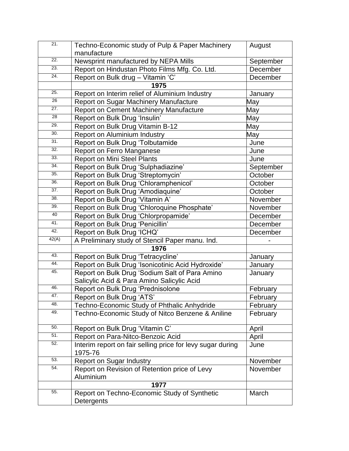| 21.               | Techno-Economic study of Pulp & Paper Machinery                       | August    |
|-------------------|-----------------------------------------------------------------------|-----------|
|                   | manufacture                                                           |           |
| $\overline{22}$ . | Newsprint manufactured by NEPA Mills                                  | September |
| 23.               | Report on Hindustan Photo Films Mfg. Co. Ltd.                         | December  |
| 24.               | Report on Bulk drug - Vitamin 'C'                                     | December  |
|                   | 1975                                                                  |           |
| 25.               | Report on Interim relief of Aluminium Industry                        | January   |
| 26                | Report on Sugar Machinery Manufacture                                 | May       |
| 27.               | Report on Cement Machinery Manufacture                                | May       |
| $\overline{28}$   | Report on Bulk Drug 'Insulin'                                         | May       |
| 29.               | Report on Bulk Drug Vitamin B-12                                      | May       |
| 30.               | Report on Aluminium Industry                                          | May       |
| 31.               | Report on Bulk Drug 'Tolbutamide                                      | June      |
| 32.               | Report on Ferro Manganese                                             | June      |
| 33.               | <b>Report on Mini Steel Plants</b>                                    | June      |
| 34.               | Report on Bulk Drug 'Sulphadiazine'                                   | September |
| 35.               | Report on Bulk Drug 'Streptomycin'                                    | October   |
| 36.               | Report on Bulk Drug 'Chloramphenicol'                                 | October   |
| 37.               | Report on Bulk Drug 'Amodiaquine'                                     | October   |
| 38.               | Report on Bulk Drug 'Vitamin A'                                       | November  |
| 39.               | Report on Bulk Drug 'Chloroquine Phosphate'                           | November  |
| 40                | Report on Bulk Drug 'Chlorpropamide'                                  | December  |
| 41.               | Report on Bulk Drug 'Penicillin'                                      | December  |
| 42.               | Report on Bulk Drug 'ICHQ'                                            | December  |
| 42(A)             | A Preliminary study of Stencil Paper manu. Ind.                       |           |
|                   | 1976                                                                  |           |
| 43.               | Report on Bulk Drug 'Tetracycline'                                    | January   |
| 44.               | Report on Bulk Drug 'Isonicotinic Acid Hydroxide'                     | January   |
| 45.               | Report on Bulk Drug 'Sodium Salt of Para Amino                        | January   |
|                   | Salicylic Acid & Para Amino Salicylic Acid                            |           |
| 46.               | Report on Bulk Drug 'Prednisolone                                     | February  |
| 47.               | Report on Bulk Drug 'ATS'                                             | February  |
| 48.               | Techno-Economic Study of Phthalic Anhydride                           | February  |
| 49.               | Techno-Economic Study of Nitco Benzene & Aniline                      | February  |
| 50.               | Report on Bulk Drug 'Vitamin C'                                       | April     |
| 51.               | Report on Para-Nitco-Benzoic Acid                                     | April     |
| 52.               | Interim report on fair selling price for levy sugar during<br>1975-76 | June      |
| 53.               | <b>Report on Sugar Industry</b>                                       | November  |
| 54.               | Report on Revision of Retention price of Levy<br>Aluminium            | November  |
|                   | 1977                                                                  |           |
| 55.               | Report on Techno-Economic Study of Synthetic<br>Detergents            | March     |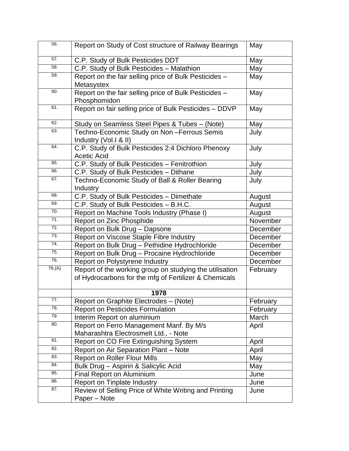| 56.    | Report on Study of Cost structure of Railway Bearings                                                            | May      |
|--------|------------------------------------------------------------------------------------------------------------------|----------|
| 57.    | C.P. Study of Bulk Pesticides DDT                                                                                | May      |
| 58.    | C.P. Study of Bulk Pesticides - Malathion                                                                        | May      |
| 59.    | Report on the fair selling price of Bulk Pesticides -<br>Metasystex                                              | May      |
| 60.    | Report on the fair selling price of Bulk Pesticides -<br>Phosphomidon                                            | May      |
| 61.    | Report on fair selling price of Bulk Pesticides - DDVP                                                           | May      |
| 62.    | Study on Seamless Steel Pipes & Tubes - (Note)                                                                   | May      |
| 63.    | Techno-Economic Study on Non-Ferrous Semis<br>Industry (Vol.1 & II)                                              | July     |
| 64.    | C.P. Study of Bulk Pesticides 2:4 Dichloro Phenoxy<br><b>Acetic Acid</b>                                         | July     |
| 65.    | C.P. Study of Bulk Pesticides - Fenitrothion                                                                     | July     |
| 66.    | C.P. Study of Bulk Pesticides - Dithane                                                                          | July     |
| 67.    | Techno-Economic Study of Ball & Roller Bearing<br>Industry                                                       | July     |
| 68.    | C.P. Study of Bulk Pesticides - Dimethate                                                                        | August   |
| 69.    | C.P. Study of Bulk Pesticides - B.H.C.                                                                           | August   |
| 70.    | Report on Machine Tools Industry (Phase I)                                                                       | August   |
| 71.    | Report on Zinc Phosphide                                                                                         | November |
| 72.    | Report on Bulk Drug - Dapsone                                                                                    | December |
| 73.    | Report on Viscose Staple Fibre Industry                                                                          | December |
| 74.    | Report on Bulk Drug - Pethidine Hydrochloride                                                                    | December |
| 75.    | Report on Bulk Drug - Procaine Hydrochloride                                                                     | December |
| 76.    | Report on Polystyrene Industry                                                                                   | December |
| 76.(A) | Report of the working group on studying the utilisation<br>of Hydrocarbons for the mfg of Fertilizer & Chemicals | February |
|        | 1978                                                                                                             |          |
| 77.    | Report on Graphite Electrodes - (Note)                                                                           | February |
| 78.    | <b>Report on Pesticides Formulation</b>                                                                          | February |
| 79.    | Interim Report on aluminium                                                                                      | March    |
| 80.    | Report on Ferro Management Manf. By M/s                                                                          | April    |
|        | Maharashtra Electrosmelt Ltd., - Note                                                                            |          |
| 81.    | Report on CO Fire Extinguishing System                                                                           | April    |
| 82.    | Report on Air Separation Plant - Note                                                                            | April    |
| 83.    | <b>Report on Roller Flour Mills</b>                                                                              | May      |
| 84.    | Bulk Drug - Aspirin & Salicylic Acid                                                                             | May      |
| 85.    | <b>Final Report on Aluminium</b>                                                                                 | June     |
| 86.    | Report on Tinplate Industry                                                                                      | June     |
| 87.    | Review of Selling Price of White Writing and Printing<br>Paper - Note                                            | June     |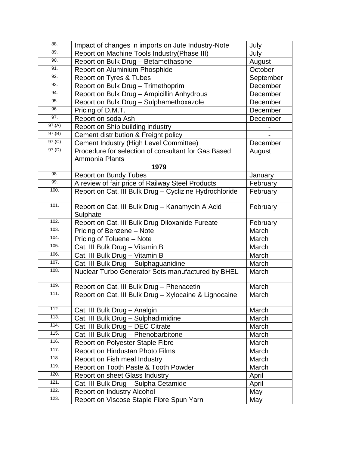| 88.    | Impact of changes in imports on Jute Industry-Note     | July      |
|--------|--------------------------------------------------------|-----------|
| 89.    | Report on Machine Tools Industry(Phase III)            | July      |
| 90.    | Report on Bulk Drug - Betamethasone                    | August    |
| 91.    | Report on Aluminium Phosphide                          | October   |
| 92.    | Report on Tyres & Tubes                                | September |
| 93.    | Report on Bulk Drug - Trimethoprim                     | December  |
| 94.    | Report on Bulk Drug - Ampicillin Anhydrous             | December  |
| 95.    | Report on Bulk Drug - Sulphamethoxazole                | December  |
| 96.    | Pricing of D.M.T.                                      | December  |
| 97.    | Report on soda Ash                                     | December  |
| 97.(A) | Report on Ship building industry                       |           |
| 97.(B) | Cement distribution & Freight policy                   |           |
| 97.(C) | Cement Industry (High Level Committee)                 | December  |
| 97.(D) | Procedure for selection of consultant for Gas Based    | August    |
|        | Ammonia Plants                                         |           |
|        | 1979                                                   |           |
| 98.    | <b>Report on Bundy Tubes</b>                           | January   |
| 99.    | A review of fair price of Railway Steel Products       | February  |
| 100.   | Report on Cat. III Bulk Drug - Cyclizine Hydrochloride | February  |
|        |                                                        |           |
| 101.   | Report on Cat. III Bulk Drug - Kanamycin A Acid        | February  |
|        | Sulphate                                               |           |
| 102.   | Report on Cat. III Bulk Drug Diloxanide Fureate        | February  |
| 103.   | Pricing of Benzene - Note                              | March     |
| 104.   | Pricing of Toluene - Note                              | March     |
| 105.   | Cat. III Bulk Drug - Vitamin B                         | March     |
| 106.   | Cat. III Bulk Drug - Vitamin B                         | March     |
| 107.   | Cat. III Bulk Drug - Sulphaguanidine                   | March     |
| 108.   | Nuclear Turbo Generator Sets manufactured by BHEL      | March     |
|        |                                                        |           |
| 109.   | Report on Cat. III Bulk Drug - Phenacetin              | March     |
| 111.   | Report on Cat. III Bulk Drug - Xylocaine & Lignocaine  | March     |
| 112.   | Cat. III Bulk Drug - Analgin                           | March     |
| 113.   | Cat. III Bulk Drug - Sulphadimidine                    | March     |
| 114.   | Cat. III Bulk Drug - DEC Citrate                       | March     |
| 115.   | Cat. III Bulk Drug - Phenobarbitone                    | March     |
| 116.   | Report on Polyester Staple Fibre                       | March     |
| 117.   | Report on Hindustan Photo Films                        | March     |
| 118.   | Report on Fish meal Industry                           | March     |
| 119.   | Report on Tooth Paste & Tooth Powder                   | March     |
| 120.   | Report on sheet Glass Industry                         | April     |
| 121.   | Cat. III Bulk Drug - Sulpha Cetamide                   | April     |
| 122.   | Report on Industry Alcohol                             | May       |
| 123.   | Report on Viscose Staple Fibre Spun Yarn               | May       |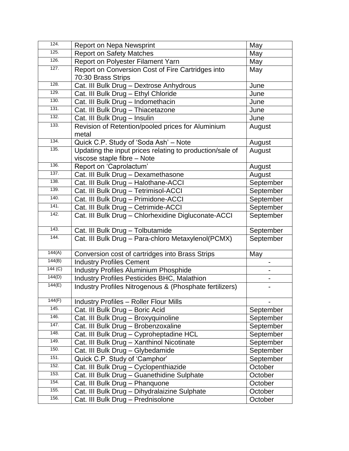| 124.    | <b>Report on Nepa Newsprint</b>                          | May       |
|---------|----------------------------------------------------------|-----------|
| 125.    | <b>Report on Safety Matches</b>                          | May       |
| 126.    | Report on Polyester Filament Yarn                        | May       |
| 127.    | Report on Conversion Cost of Fire Cartridges into        | May       |
|         | 70:30 Brass Strips                                       |           |
| 128.    | Cat. III Bulk Drug - Dextrose Anhydrous                  | June      |
| 129.    | Cat. III Bulk Drug - Ethyl Chloride                      | June      |
| 130.    | Cat. III Bulk Drug - Indomethacin                        | June      |
| 131.    | Cat. III Bulk Drug - Thiacetazone                        | June      |
| 132.    | Cat. III Bulk Drug - Insulin                             | June      |
| 133.    | Revision of Retention/pooled prices for Aluminium        | August    |
|         | metal                                                    |           |
| 134.    | Quick C.P. Study of 'Soda Ash' - Note                    | August    |
| 135.    | Updating the input prices relating to production/sale of | August    |
|         | viscose staple fibre - Note                              |           |
| 136.    | Report on 'Caprolactum'                                  | August    |
| 137.    | Cat. III Bulk Drug - Dexamethasone                       | August    |
| 138.    | Cat. III Bulk Drug - Halothane-ACCI                      | September |
| 139.    | Cat. III Bulk Drug - Tetrimisol-ACCI                     | September |
| 140.    | Cat. III Bulk Drug - Primidone-ACCI                      | September |
| 141.    | Cat. III Bulk Drug - Cetrimide-ACCI                      | September |
| 142.    | Cat. III Bulk Drug - Chlorhexidine Digluconate-ACCI      | September |
| 143.    | Cat. III Bulk Drug - Tolbutamide                         | September |
| 144.    | Cat. III Bulk Drug - Para-chloro Metaxylenol(PCMX)       | September |
| 144(A)  | Conversion cost of cartridges into Brass Strips          | May       |
| 144(B)  | <b>Industry Profiles Cement</b>                          |           |
| 144 (C) | <b>Industry Profiles Aluminium Phosphide</b>             |           |
| 144(D)  | <b>Industry Profiles Pesticides BHC, Malathion</b>       |           |
| 144(E)  | Industry Profiles Nitrogenous & (Phosphate fertilizers)  |           |
| 144(F)  | <b>Industry Profiles - Roller Flour Mills</b>            |           |
| 145.    | Cat. III Bulk Drug - Boric Acid                          | September |
| 146.    | Cat. III Bulk Drug - Broxyquinoline                      | September |
| 147.    | Cat. III Bulk Drug - Brobenzoxaline                      | September |
| 148.    | Cat. III Bulk Drug - Cyproheptadine HCL                  | September |
| 149.    | Cat. III Bulk Drug - Xanthinol Nicotinate                | September |
| 150.    | Cat. III Bulk Drug - Glybedamide                         | September |
| 151.    | Quick C.P. Study of 'Camphor'                            | September |
| 152.    | Cat. III Bulk Drug - Cyclopenthiazide                    | October   |
| 153.    | Cat. III Bulk Drug - Guanethidine Sulphate               | October   |
| 154.    | Cat. III Bulk Drug - Phanquone                           | October   |
| 155.    | Cat. III Bulk Drug - Dihydralaizine Sulphate             | October   |
| 156.    | Cat. III Bulk Drug - Prednisolone                        | October   |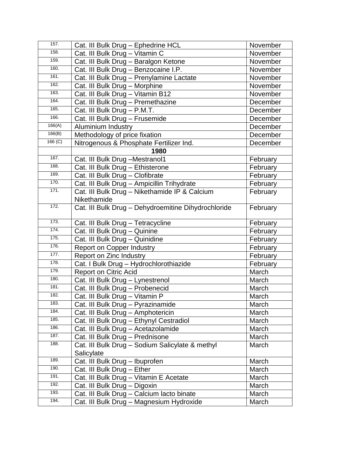| 157.    | Cat. III Bulk Drug - Ephedrine HCL                  | November |
|---------|-----------------------------------------------------|----------|
| 158.    | Cat. III Bulk Drug - Vitamin C                      | November |
| 159.    | Cat. III Bulk Drug - Baralgon Ketone                | November |
| 160.    | Cat. III Bulk Drug - Benzocaine I.P.                | November |
| 161.    | Cat. III Bulk Drug - Prenylamine Lactate            | November |
| 162.    | Cat. III Bulk Drug - Morphine                       | November |
| 163.    | Cat. III Bulk Drug - Vitamin B12                    | November |
| 164.    | Cat. III Bulk Drug - Premethazine                   | December |
| 165.    | Cat. III Bulk Drug - P.M.T.                         | December |
| 166.    | Cat. III Bulk Drug - Frusemide                      | December |
| 166(A)  | Aluminium Industry                                  | December |
| 166(B)  | Methodology of price fixation                       | December |
| 166 (C) | Nitrogenous & Phosphate Fertilizer Ind.             | December |
|         | 1980                                                |          |
| 167.    | Cat. III Bulk Drug - Mestranol1                     | February |
| 168.    | Cat. III Bulk Drug - Ethisterone                    | February |
| 169.    | Cat. III Bulk Drug - Clofibrate                     | February |
| 170.    | Cat. III Bulk Drug - Ampicillin Trihydrate          | February |
| 171.    | Cat. III Bulk Drug - Nikethamide IP & Calcium       | February |
|         | Nikethamide                                         |          |
| 172.    | Cat. III Bulk Drug - Dehydroemitine Dihydrochloride | February |
|         |                                                     |          |
| 173.    | Cat. III Bulk Drug - Tetracycline                   | February |
| 174.    | Cat. III Bulk Drug - Quinine                        | February |
| 175.    | Cat. III Bulk Drug - Quinidine                      | February |
| 176.    | <b>Report on Copper Industry</b>                    | February |
| 177.    | Report on Zinc Industry                             | February |
| 178.    | Cat. I Bulk Drug - Hydrochlorothiazide              | February |
| 179.    | Report on Citric Acid                               | March    |
| 180.    | Cat. III Bulk Drug - Lynestrenol                    | March    |
| 181.    | Cat. III Bulk Drug - Probenecid                     | March    |
| 182.    | Cat. III Bulk Drug - Vitamin P                      | March    |
| 183.    | Cat. III Bulk Drug - Pyrazinamide                   | March    |
| 184.    | Cat. III Bulk Drug - Amphotericin                   | March    |
| 185.    | Cat. III Bulk Drug - Ethynyl Cestradiol             | March    |
| 186.    | Cat. III Bulk Drug - Acetazolamide                  | March    |
| 187.    | Cat. III Bulk Drug - Prednisone                     | March    |
| 188.    | Cat. III Bulk Drug - Sodium Salicylate & methyl     | March    |
|         | Salicylate                                          |          |
| 189.    | Cat. III Bulk Drug - Ibuprofen                      | March    |
| 190.    | Cat. III Bulk Drug - Ether                          | March    |
| 191.    | Cat. III Bulk Drug - Vitamin E Acetate              | March    |
| 192.    | Cat. III Bulk Drug - Digoxin                        | March    |
| 193.    | Cat. III Bulk Drug - Calcium lacto binate           | March    |
| 194.    | Cat. III Bulk Drug - Magnesium Hydroxide            | March    |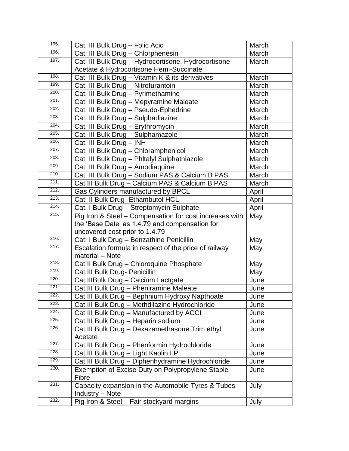| 195. | Cat. III Bulk Drug - Folic Acid                         | March |
|------|---------------------------------------------------------|-------|
| 196. | Cat. III Bulk Drug - Chlorphenesin                      | March |
| 197. | Cat. III Bulk Drug - Hydrocortisone, Hydrocortisone     | March |
|      | Acetate & Hydrocortisone Hemi-Succinate                 |       |
| 198. | Cat. III Bulk Drug - Vitamin K & its derivatives        | March |
| 199. | Cat. III Bulk Drug - Nitrofurantoin                     | March |
| 200. | Cat. III Bulk Drug - Pyrimethamine                      | March |
| 201. | Cat. III Bulk Drug - Mepyramine Maleate                 | March |
| 202. | Cat. III Bulk Drug - Pseudo-Ephedrine                   | March |
| 203. | Cat. III Bulk Drug - Sulphadiazine                      | March |
| 204. | Cat. III Bulk Drug - Erythromycin                       | March |
| 205. | Cat. III Bulk Drug - Sulphamazole                       | March |
| 206. | Cat. III Bulk Drug - INH                                | March |
| 207. | Cat. III Bulk Drug - Chloramphenicol                    | March |
| 208. | Cat. III Bulk Drug - Phltalyl Sulphathiazole            | March |
| 209. | Cat. III Bulk Drug - Amodiaquine                        | March |
| 210. | Cat. III Bulk Drug - Sodium PAS & Calcium B PAS         | March |
| 211. | Cat III Bulk Drug - Calcium PAS & Calcium B PAS         | March |
| 212. | Gas Cylinders manufactured by BPCL                      | April |
| 213. | Cat. II Bulk Drug- Ethambutol HCL                       | April |
| 214. | Cat. I Bulk Drug - Streptomycin Sulphate                | April |
| 215. | Pig Iron & Steel - Compensation for cost increases with | May   |
|      | the 'Base Date' as 1.4.79 and compensation for          |       |
|      | uncovered cost prior to 1.4.79                          |       |
| 216. | Cat. I Bulk Drug - Benzathine Penicillin                | May   |
| 217. | Escalation formula in respect of the price of railway   | May   |
| 218. | material - Note                                         |       |
| 219. | Cat.II Bulk Drug - Chloroquine Phosphate                | May   |
| 220. | Cat.III Bulk Drug- Penicillin                           | May   |
| 221. | Cat.IIIBulk Drug - Calcium Lactgate                     | June  |
| 222. | Cat.III Bulk Drug - Pheniramine Maleate                 | June  |
| 223. | Cat.III Bulk Drug - Bephnium Hydroxy Napthoate          | June  |
| 224. | Cat.III Bulk Drug - Methdilazine Hydrochloride          | June  |
| 225. | Cat.III Bulk Drug - Manufactured by ACCI                | June  |
| 226. | Cat.III Bulk Drug - Heparin sodium                      | June  |
|      | Cat.III Bulk Drug - Dexazamethasone Trim ethyl          | June  |
| 227. | Acetate                                                 |       |
| 228. | Cat.III Bulk Drug - Phenformin Hydrochloride            | June  |
| 229. | Cat.III Bulk Drug - Light Kaolin I.P.                   | June  |
| 230. | Cat.III Bulk Drug - Diphenhydramine Hydrochloride       | June  |
|      | Exemption of Excise Duty on Polypropylene Staple        | June  |
| 231. | Fibre                                                   |       |
|      | Capacity expansion in the Automobile Tyres & Tubes      | July  |
| 232. | <b>Industry – Note</b>                                  |       |
|      | Pig Iron & Steel - Fair stockyard margins               | July  |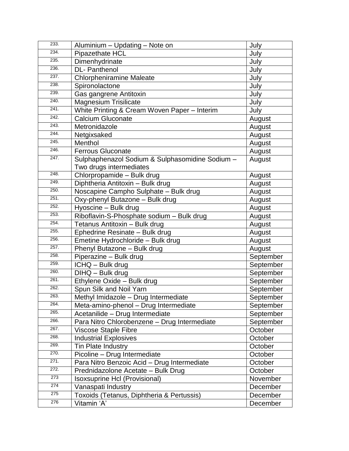| 233. | Aluminium - Updating - Note on                  | July      |
|------|-------------------------------------------------|-----------|
| 234. | Pipazethate HCL                                 | July      |
| 235. | Dimenhydrinate                                  | July      |
| 236. | <b>DL-Panthenol</b>                             | July      |
| 237. | <b>Chlorpheniramine Maleate</b>                 | July      |
| 238. | Spironolactone                                  | July      |
| 239. | Gas gangrene Antitoxin                          | July      |
| 240. | <b>Magnesium Trisilicate</b>                    | July      |
| 241. | White Printing & Cream Woven Paper - Interim    | July      |
| 242. | <b>Calcium Gluconate</b>                        | August    |
| 243. | Metronidazole                                   | August    |
| 244. | Netgixsaked                                     | August    |
| 245. | Menthol                                         | August    |
| 246. | <b>Ferrous Gluconate</b>                        | August    |
| 247. | Sulphaphenazol Sodium & Sulphasomidine Sodium - | August    |
|      | Two drugs intermediates                         |           |
| 248. | Chlorpropamide - Bulk drug                      | August    |
| 249. | Diphtheria Antitoxin - Bulk drug                | August    |
| 250. | Noscapine Campho Sulphate - Bulk drug           | August    |
| 251. | Oxy-phenyl Butazone - Bulk drug                 | August    |
| 252. | Hyoscine - Bulk drug                            | August    |
| 253. | Riboflavin-S-Phosphate sodium - Bulk drug       | August    |
| 254. | Tetanus Antitoxin - Bulk drug                   | August    |
| 255. | Ephedrine Resinate - Bulk drug                  | August    |
| 256. | Emetine Hydrochloride - Bulk drug               | August    |
| 257. | Phenyl Butazone - Bulk drug                     | August    |
| 258. | Piperazine - Bulk drug                          | September |
| 259. | ICHQ - Bulk drug                                | September |
| 260. | DIHQ - Bulk drug                                | September |
| 261. | Ethylene Oxide - Bulk drug                      | September |
| 262. | Spun Silk and Noil Yarn                         | September |
| 263. | Methyl Imidazole - Drug Intermediate            | September |
| 264. | Meta-amino-phenol - Drug Intermediate           | September |
| 265. | Acetanilide - Drug Intermediate                 | September |
| 266. | Para Nitro Chlorobenzene - Drug Intermediate    | September |
| 267. | <b>Viscose Staple Fibre</b>                     | October   |
| 268. | <b>Industrial Explosives</b>                    | October   |
| 269. | <b>Tin Plate Industry</b>                       | October   |
| 270. | Picoline - Drug Intermediate                    | October   |
| 271. | Para Nitro Benzoic Acid - Drug Intermediate     | October   |
| 272. | Prednidazolone Acetate - Bulk Drug              | October   |
| 273  | Isoxsuprine Hcl (Provisional)                   | November  |
| 274  | Vanaspati Industry                              | December  |
| 275  | Toxoids (Tetanus, Diphtheria & Pertussis)       | December  |
| 276  | Vitamin 'A'                                     | December  |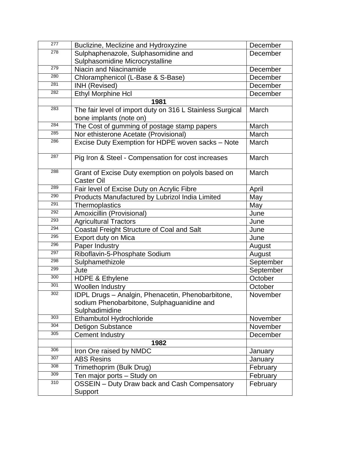| 277              | Buclizine, Meclizine and Hydroxyzine                                                                              | December  |
|------------------|-------------------------------------------------------------------------------------------------------------------|-----------|
| $\overline{278}$ | Sulphaphenazole, Sulphasomidine and                                                                               | December  |
|                  | Sulphasomidine Microcrystalline                                                                                   |           |
| 279              | Niacin and Niacinamide                                                                                            | December  |
| 280              | Chloramphenicol (L-Base & S-Base)                                                                                 | December  |
| 281              | INH (Revised)                                                                                                     | December  |
| 282              | Ethyl Morphine Hcl                                                                                                | December  |
|                  | 1981                                                                                                              |           |
| 283              | The fair level of import duty on 316 L Stainless Surgical                                                         | March     |
|                  | bone implants (note on)                                                                                           |           |
| 284              | The Cost of gumming of postage stamp papers                                                                       | March     |
| 285              | Nor ethisterone Acetate (Provisional)                                                                             | March     |
| 286              | Excise Duty Exemption for HDPE woven sacks - Note                                                                 | March     |
| 287              | Pig Iron & Steel - Compensation for cost increases                                                                | March     |
| 288              | Grant of Excise Duty exemption on polyols based on<br><b>Caster Oil</b>                                           | March     |
| 289              | Fair level of Excise Duty on Acrylic Fibre                                                                        | April     |
| 290              | Products Manufactured by Lubrizol India Limited                                                                   | May       |
| 291              | Thermoplastics                                                                                                    | May       |
| 292              | Amoxicillin (Provisional)                                                                                         | June      |
| 293              | <b>Agricultural Tractors</b>                                                                                      | June      |
| 294              | Coastal Freight Structure of Coal and Salt                                                                        | June      |
| 295              | Export duty on Mica                                                                                               | June      |
| 296              | Paper Industry                                                                                                    | August    |
| 297              | Riboflavin-5-Phosphate Sodium                                                                                     | August    |
| 298              | Sulphamethizole                                                                                                   | September |
| 299              | Jute                                                                                                              | September |
| 300              | <b>HDPE &amp; Ethylene</b>                                                                                        | October   |
| 301              | <b>Woollen Industry</b>                                                                                           | October   |
| 302              | IDPL Drugs - Analgin, Phenacetin, Phenobarbitone,<br>sodium Phenobarbitone, Sulphaguanidine and<br>Sulphadimidine | November  |
| 303              | Ethambutol Hydrochloride                                                                                          | November  |
| 304              | <b>Detigon Substance</b>                                                                                          | November  |
| 305              | <b>Cement Industry</b>                                                                                            | December  |
|                  | 1982                                                                                                              |           |
| 306              | Iron Ore raised by NMDC                                                                                           | January   |
| 307              | <b>ABS Resins</b>                                                                                                 | January   |
| 308              | Trimethoprim (Bulk Drug)                                                                                          | February  |
| 309              | Ten major ports - Study on                                                                                        | February  |
| 310              | OSSEIN - Duty Draw back and Cash Compensatory<br>Support                                                          | February  |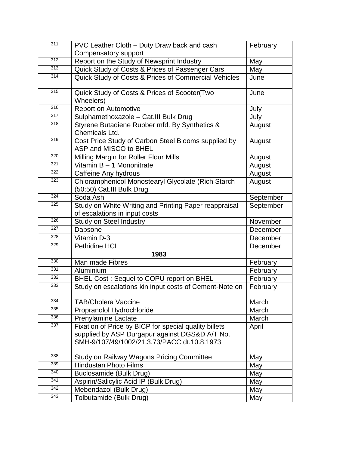| 311 | PVC Leather Cloth - Duty Draw back and cash                                                                                                            | February  |
|-----|--------------------------------------------------------------------------------------------------------------------------------------------------------|-----------|
|     | Compensatory support                                                                                                                                   |           |
| 312 | Report on the Study of Newsprint Industry                                                                                                              | May       |
| 313 | Quick Study of Costs & Prices of Passenger Cars                                                                                                        | May       |
| 314 | Quick Study of Costs & Prices of Commercial Vehicles                                                                                                   | June      |
| 315 | Quick Study of Costs & Prices of Scooter(Two<br>Wheelers)                                                                                              | June      |
| 316 | <b>Report on Automotive</b>                                                                                                                            | July      |
| 317 | Sulphamethoxazole - Cat.III Bulk Drug                                                                                                                  | July      |
| 318 | Styrene Butadiene Rubber mfd. By Synthetics &<br>Chemicals Ltd.                                                                                        | August    |
| 319 | Cost Price Study of Carbon Steel Blooms supplied by<br>ASP and MISCO to BHEL                                                                           | August    |
| 320 | Milling Margin for Roller Flour Mills                                                                                                                  | August    |
| 321 | Vitamin B - 1 Mononitrate                                                                                                                              | August    |
| 322 | Caffeine Any hydrous                                                                                                                                   | August    |
| 323 | Chloramphenicol Monostearyl Glycolate (Rich Starch<br>(50:50) Cat.III Bulk Drug                                                                        | August    |
| 324 | Soda Ash                                                                                                                                               | September |
| 325 | Study on White Writing and Printing Paper reappraisal<br>of escalations in input costs                                                                 | September |
| 326 | <b>Study on Steel Industry</b>                                                                                                                         | November  |
| 327 | Dapsone                                                                                                                                                | December  |
| 328 | Vitamin D-3                                                                                                                                            | December  |
| 329 | <b>Pethidine HCL</b>                                                                                                                                   | December  |
|     | 1983                                                                                                                                                   |           |
| 330 | Man made Fibres                                                                                                                                        | February  |
| 331 | Aluminium                                                                                                                                              | February  |
| 332 | BHEL Cost: Sequel to COPU report on BHEL                                                                                                               | February  |
| 333 | Study on escalations kin input costs of Cement-Note on                                                                                                 | February  |
| 334 | <b>TAB/Cholera Vaccine</b>                                                                                                                             | March     |
| 335 | Propranolol Hydrochloride                                                                                                                              | March     |
| 336 | <b>Prenylamine Lactate</b>                                                                                                                             | March     |
| 337 | Fixation of Price by BICP for special quality billets<br>supplied by ASP Durgapur against DGS&D A/T No.<br>SMH-9/107/49/1002/21.3.73/PACC dt.10.8.1973 | April     |
| 338 | Study on Railway Wagons Pricing Committee                                                                                                              | May       |
| 339 | <b>Hindustan Photo Films</b>                                                                                                                           | May       |
| 340 | Buclosamide (Bulk Drug)                                                                                                                                | May       |
| 341 | Aspirin/Salicylic Acid IP (Bulk Drug)                                                                                                                  | May       |
| 342 | Mebendazol (Bulk Drug)                                                                                                                                 | May       |
| 343 | Tolbutamide (Bulk Drug)                                                                                                                                | May       |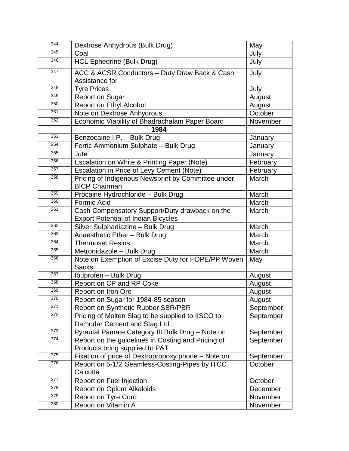| 344 | Dextrose Anhydrous (Bulk Drug)                                                               | May       |
|-----|----------------------------------------------------------------------------------------------|-----------|
| 345 | Coal                                                                                         | July      |
| 346 | <b>HCL Ephedrine (Bulk Drug)</b>                                                             | July      |
| 347 | ACC & ACSR Conductors - Duty Draw Back & Cash<br>Assistance for                              | July      |
| 348 | <b>Tyre Prices</b>                                                                           | July      |
| 349 | <b>Report on Sugar</b>                                                                       | August    |
| 350 | <b>Report on Ethyl Alcohol</b>                                                               | August    |
| 351 | Note on Dextrose Anhydrous                                                                   | October   |
| 352 | Economic Viability of Bhadrachalam Paper Board                                               | November  |
|     | 1984                                                                                         |           |
| 353 | Benzocaine I.P. - Bulk Drug                                                                  | January   |
| 354 | Ferric Ammonium Sulphate - Bulk Drug                                                         | January   |
| 355 | Jute                                                                                         | January   |
| 356 | Escalation on White & Printing Paper (Note)                                                  | February  |
| 357 | Escalation in Price of Levy Cement (Note)                                                    | February  |
| 358 | Pricing of Indigenous Newsprint by Committee under<br><b>BICP Chairman</b>                   | March     |
| 359 | Procaine Hydrochloride - Bulk Drug                                                           | March     |
| 360 | <b>Formic Acid</b>                                                                           | March     |
| 361 | Cash Compensatory Support/Duty drawback on the<br><b>Export Potential of Indian Bicycles</b> | March     |
| 362 | Silver Sulphadiazine - Bulk Drug                                                             | March     |
| 363 | Anaesthetic Ether - Bulk Drug                                                                | March     |
| 364 | <b>Thermoset Resins</b>                                                                      | March     |
| 365 | Metronidazole - Bulk Drug                                                                    | March     |
| 366 | Note on Exemption of Excise Duty for HDPE/PP Woven<br><b>Sacks</b>                           | May       |
| 367 | Ibuprofen - Bulk Drug                                                                        | August    |
| 368 | Report on CP and RP Coke                                                                     | August    |
| 369 | Report on Iron Ore                                                                           | August    |
| 370 | Report on Sugar for 1984-85 season                                                           | August    |
| 371 | <b>Report on Synthetic Rubber SBR/PBR</b>                                                    | September |
| 372 | Pricing of Molten Slag to be supplied to IISCO to                                            | September |
|     | Damodar Cement and Stag Ltd.,                                                                |           |
| 373 | Pyrautal Pamate Category III Bulk Drug - Note on                                             | September |
| 374 | Report on the guidelines in Costing and Pricing of<br>Products bring supplied to P&T         | September |
| 375 | Fixation of price of Dextropropoxy phone - Note on                                           | September |
| 376 | Report on 5-1/2 <sup>"</sup> Seamless-Costing-Pipes by ITCC<br>Calcutta                      | October   |
| 377 | Report on Fuel Injection                                                                     | October   |
| 378 | <b>Report on Opium Alkaloids</b>                                                             | December  |
| 379 | <b>Report on Tyre Cord</b>                                                                   | November  |
| 380 | Report on Vitamin A                                                                          | November  |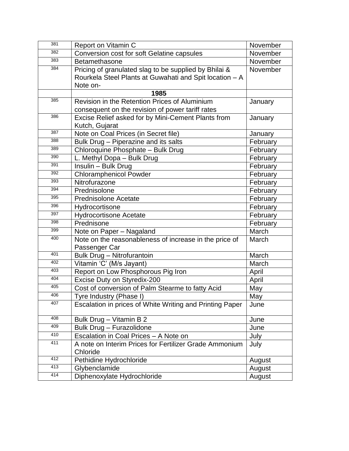| 381 | Report on Vitamin C                                      | November |
|-----|----------------------------------------------------------|----------|
| 382 | Conversion cost for soft Gelatine capsules               | November |
| 383 | Betamethasone                                            | November |
| 384 | Pricing of granulated slag to be supplied by Bhilai &    | November |
|     | Rourkela Steel Plants at Guwahati and Spit location - A  |          |
|     | Note on-                                                 |          |
|     | 1985                                                     |          |
| 385 | Revision in the Retention Prices of Aluminium            | January  |
|     | consequent on the revision of power tariff rates         |          |
| 386 | Excise Relief asked for by Mini-Cement Plants from       | January  |
|     | Kutch, Gujarat                                           |          |
| 387 | Note on Coal Prices (in Secret file)                     | January  |
| 388 | Bulk Drug - Piperazine and its salts                     | February |
| 389 | Chloroquine Phosphate - Bulk Drug                        | February |
| 390 | L. Methyl Dopa - Bulk Drug                               | February |
| 391 | Insulin - Bulk Drug                                      | February |
| 392 | <b>Chloramphenicol Powder</b>                            | February |
| 393 | Nitrofurazone                                            | February |
| 394 | Prednisolone                                             | February |
| 395 | <b>Prednisolone Acetate</b>                              | February |
| 396 | Hydrocortisone                                           | February |
| 397 | <b>Hydrocortisone Acetate</b>                            | February |
| 398 | Prednisone                                               | February |
| 399 | Note on Paper - Nagaland                                 | March    |
| 400 | Note on the reasonableness of increase in the price of   | March    |
|     | Passenger Car                                            |          |
| 401 | <b>Bulk Drug - Nitrofurantoin</b>                        | March    |
| 402 | Vitamin 'C' (M/s Jayant)                                 | March    |
| 403 | Report on Low Phosphorous Pig Iron                       | April    |
| 404 | Excise Duty on Styredix-200                              | April    |
| 405 | Cost of conversion of Palm Stearme to fatty Acid         | May      |
| 406 | Tyre Industry (Phase I)                                  | May      |
| 407 | Escalation in prices of White Writing and Printing Paper | June     |
| 408 | Bulk Drug - Vitamin B 2                                  | June     |
| 409 | Bulk Drug - Furazolidone                                 | June     |
| 410 | Escalation in Coal Prices - A Note on                    | July     |
| 411 | A note on Interim Prices for Fertilizer Grade Ammonium   | July     |
|     | Chloride                                                 |          |
| 412 | Pethidine Hydrochloride                                  | August   |
| 413 | Glybenclamide                                            | August   |
| 414 | Diphenoxylate Hydrochloride                              | August   |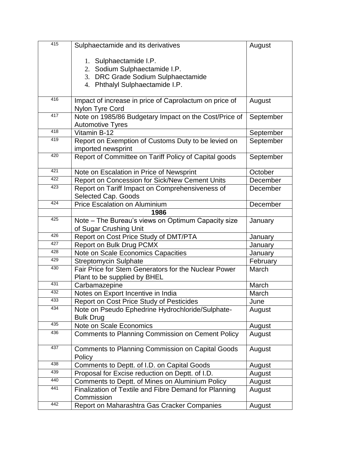| 415 | Sulphaectamide and its derivatives                                           | August    |
|-----|------------------------------------------------------------------------------|-----------|
|     |                                                                              |           |
|     | 1. Sulphaectamide I.P.                                                       |           |
|     | 2. Sodium Sulphaectamide I.P.                                                |           |
|     | 3. DRC Grade Sodium Sulphaectamide                                           |           |
|     | 4. Phthalyl Sulphaectamide I.P.                                              |           |
| 416 | Impact of increase in price of Caprolactum on price of                       | August    |
|     | Nylon Tyre Cord                                                              |           |
| 417 | Note on 1985/86 Budgetary Impact on the Cost/Price of                        | September |
|     | <b>Automotive Tyres</b>                                                      |           |
| 418 | Vitamin B-12                                                                 | September |
| 419 | Report on Exemption of Customs Duty to be levied on                          | September |
|     | imported newsprint                                                           |           |
| 420 | Report of Committee on Tariff Policy of Capital goods                        | September |
| 421 | Note on Escalation in Price of Newsprint                                     | October   |
| 422 | Report on Concession for Sick/New Cement Units                               | December  |
| 423 | Report on Tariff Impact on Comprehensiveness of                              | December  |
|     | Selected Cap. Goods                                                          |           |
| 424 | <b>Price Escalation on Aluminium</b>                                         | December  |
|     | 1986                                                                         |           |
| 425 | Note - The Bureau's views on Optimum Capacity size<br>of Sugar Crushing Unit | January   |
| 426 | Report on Cost Price Study of DMT/PTA                                        | January   |
| 427 | <b>Report on Bulk Drug PCMX</b>                                              | January   |
| 428 | Note on Scale Economics Capacities                                           | January   |
| 429 | <b>Streptomycin Sulphate</b>                                                 | February  |
| 430 | Fair Price for Stem Generators for the Nuclear Power                         | March     |
|     | Plant to be supplied by BHEL                                                 |           |
| 431 | Carbamazepine                                                                | March     |
| 432 | Notes on Export Incentive in India                                           | March     |
| 433 | <b>Report on Cost Price Study of Pesticides</b>                              | June      |
| 434 | Note on Pseudo Ephedrine Hydrochloride/Sulphate-                             | August    |
|     | <b>Bulk Drug</b>                                                             |           |
| 435 | Note on Scale Economics                                                      | August    |
| 436 | <b>Comments to Planning Commission on Cement Policy</b>                      | August    |
| 437 | <b>Comments to Planning Commission on Capital Goods</b><br>Policy            | August    |
| 438 | Comments to Deptt. of I.D. on Capital Goods                                  | August    |
| 439 | Proposal for Excise reduction on Deptt. of I.D.                              | August    |
| 440 | Comments to Deptt. of Mines on Aluminium Policy                              | August    |
| 441 | Finalization of Textile and Fibre Demand for Planning                        | August    |
| 442 | Commission                                                                   |           |
|     | Report on Maharashtra Gas Cracker Companies                                  | August    |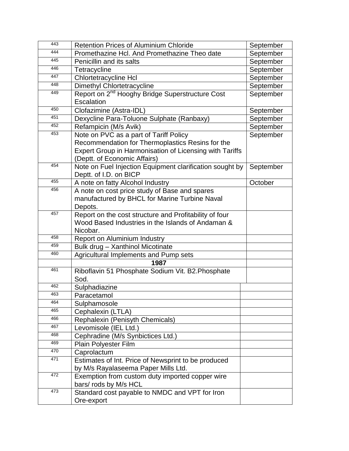| 443 | <b>Retention Prices of Aluminium Chloride</b>                                                                                                                                         | September |
|-----|---------------------------------------------------------------------------------------------------------------------------------------------------------------------------------------|-----------|
| 444 | Promethazine Hcl. And Promethazine Theo date                                                                                                                                          | September |
| 445 | Penicillin and its salts                                                                                                                                                              | September |
| 446 | Tetracycline                                                                                                                                                                          | September |
| 447 | <b>Chlortetracycline Hcl</b>                                                                                                                                                          | September |
| 448 | Dimethyl Chlortetracycline                                                                                                                                                            | September |
| 449 | Report on 2 <sup>nd</sup> Hooghy Bridge Superstructure Cost<br>Escalation                                                                                                             | September |
| 450 | Clofazimine (Astra-IDL)                                                                                                                                                               | September |
| 451 | Dexycline Para-Toluone Sulphate (Ranbaxy)                                                                                                                                             | September |
| 452 | Refampicin (M/s Avik)                                                                                                                                                                 | September |
| 453 | Note on PVC as a part of Tariff Policy<br>Recommendation for Thermoplastics Resins for the<br>Expert Group in Harmonisation of Licensing with Tariffs<br>(Deptt. of Economic Affairs) | September |
| 454 | Note on Fuel Injection Equipment clarification sought by<br>Deptt. of I.D. on BICP                                                                                                    | September |
| 455 | A note on fatty Alcohol Industry                                                                                                                                                      | October   |
| 456 | A note on cost price study of Base and spares<br>manufactured by BHCL for Marine Turbine Naval<br>Depots.                                                                             |           |
| 457 | Report on the cost structure and Profitability of four<br>Wood Based Industries in the Islands of Andaman &<br>Nicobar.                                                               |           |
| 458 | Report on Aluminium Industry                                                                                                                                                          |           |
| 459 | Bulk drug - Xanthinol Micotinate                                                                                                                                                      |           |
| 460 | Agricultural Implements and Pump sets                                                                                                                                                 |           |
|     | 1987                                                                                                                                                                                  |           |
| 461 | Riboflavin 51 Phosphate Sodium Vit. B2. Phosphate<br>Sod.                                                                                                                             |           |
| 462 | Sulphadiazine                                                                                                                                                                         |           |
| 463 | Paracetamol                                                                                                                                                                           |           |
| 464 | Sulphamosole                                                                                                                                                                          |           |
| 465 | Cephalexin (LTLA)                                                                                                                                                                     |           |
| 466 | Rephalexin (Penisyth Chemicals)                                                                                                                                                       |           |
| 467 | Levomisole (IEL Ltd.)                                                                                                                                                                 |           |
| 468 | Cephradine (M/s Synbictices Ltd.)                                                                                                                                                     |           |
| 469 | Plain Polyester Film                                                                                                                                                                  |           |
| 470 | Caprolactum                                                                                                                                                                           |           |
| 471 | Estimates of Int. Price of Newsprint to be produced<br>by M/s Rayalaseema Paper Mills Ltd.                                                                                            |           |
| 472 | Exemption from custom duty imported copper wire<br>bars/ rods by M/s HCL                                                                                                              |           |
| 473 | Standard cost payable to NMDC and VPT for Iron<br>Ore-export                                                                                                                          |           |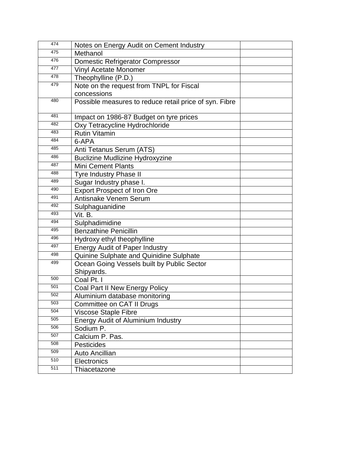| 474 | Notes on Energy Audit on Cement Industry               |
|-----|--------------------------------------------------------|
| 475 | Methanol                                               |
| 476 | Domestic Refrigerator Compressor                       |
| 477 | <b>Vinyl Acetate Monomer</b>                           |
| 478 | Theophylline (P.D.)                                    |
| 479 | Note on the request from TNPL for Fiscal               |
|     | concessions                                            |
| 480 | Possible measures to reduce retail price of syn. Fibre |
| 481 | Impact on 1986-87 Budget on tyre prices                |
| 482 | Oxy Tetracycline Hydrochloride                         |
| 483 | <b>Rutin Vitamin</b>                                   |
| 484 | 6-APA                                                  |
| 485 | Anti Tetanus Serum (ATS)                               |
| 486 | <b>Buclizine Mudlizine Hydroxyzine</b>                 |
| 487 | <b>Mini Cement Plants</b>                              |
| 488 | <b>Tyre Industry Phase II</b>                          |
| 489 | Sugar Industry phase I.                                |
| 490 | <b>Export Prospect of Iron Ore</b>                     |
| 491 | Antisnake Venem Serum                                  |
| 492 | Sulphaguanidine                                        |
| 493 | Vit. B.                                                |
| 494 | Sulphadimidine                                         |
| 495 | <b>Benzathine Penicillin</b>                           |
| 496 | Hydroxy ethyl theophylline                             |
| 497 | <b>Energy Audit of Paper Industry</b>                  |
| 498 | Quinine Sulphate and Quinidine Sulphate                |
| 499 | Ocean Going Vessels built by Public Sector             |
|     | Shipyards.                                             |
| 500 | Coal Pt. I                                             |
| 501 | Coal Part II New Energy Policy                         |
| 502 | Aluminium database monitoring                          |
| 503 | Committee on CAT II Drugs                              |
| 504 | Viscose Staple Fibre                                   |
| 505 | <b>Energy Audit of Aluminium Industry</b>              |
| 506 | Sodium P.                                              |
| 507 | Calcium P. Pas.                                        |
| 508 | <b>Pesticides</b>                                      |
| 509 | Auto Ancillian                                         |
| 510 | Electronics                                            |
| 511 | Thiacetazone                                           |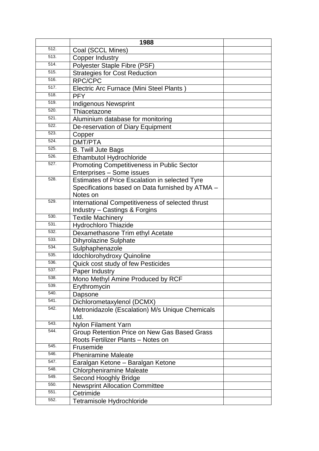|              | 1988                                                                          |  |
|--------------|-------------------------------------------------------------------------------|--|
| 512.         | Coal (SCCL Mines)                                                             |  |
| 513.         | <b>Copper Industry</b>                                                        |  |
| 514.         | Polyester Staple Fibre (PSF)                                                  |  |
| 515.         | <b>Strategies for Cost Reduction</b>                                          |  |
| 516.         | RPC/CPC                                                                       |  |
| 517.         | Electric Arc Furnace (Mini Steel Plants)                                      |  |
| 518.         | <b>PFY</b>                                                                    |  |
| 519.         | <b>Indigenous Newsprint</b>                                                   |  |
| 520.         | Thiacetazone                                                                  |  |
| 521.         | Aluminium database for monitoring                                             |  |
| 522.         | De-reservation of Diary Equipment                                             |  |
| 523.         | Copper                                                                        |  |
| 524.         | DMT/PTA                                                                       |  |
| 525.         | <b>B. Twill Jute Bags</b>                                                     |  |
| 526.         | Ethambutol Hydrochloride                                                      |  |
| 527.         | <b>Promoting Competitiveness in Public Sector</b>                             |  |
|              | Enterprises - Some issues                                                     |  |
| 528.         | Estimates of Price Escalation in selected Tyre                                |  |
|              | Specifications based on Data furnished by ATMA -                              |  |
|              | Notes on                                                                      |  |
| 529.         | International Competitiveness of selected thrust                              |  |
|              | Industry - Castings & Forgins                                                 |  |
| 530.         | <b>Textile Machinery</b>                                                      |  |
| 531.<br>532. | <b>Hydrochloro Thiazide</b>                                                   |  |
| 533.         | Dexamethasone Trim ethyl Acetate                                              |  |
| 534.         | <b>Dihyrolazine Sulphate</b>                                                  |  |
| 535.         | Sulphaphenazole                                                               |  |
| 536.         | Idochlorohydroxy Quinoline                                                    |  |
| 537.         | Quick cost study of few Pesticides                                            |  |
| 538.         | Paper Industry                                                                |  |
| 539.         | Mono Methyl Amine Produced by RCF                                             |  |
| 540.         | Erythromycin                                                                  |  |
| 541.         | Dapsone                                                                       |  |
| 542.         | Dichlorometaxylenol (DCMX)<br>Metronidazole (Escalation) M/s Unique Chemicals |  |
|              | Ltd.                                                                          |  |
| 543.         | <b>Nylon Filament Yarn</b>                                                    |  |
| 544.         | Group Retention Price on New Gas Based Grass                                  |  |
|              | Roots Fertilizer Plants - Notes on                                            |  |
| 545.         | Frusemide                                                                     |  |
| 546.         | <b>Pheniramine Maleate</b>                                                    |  |
| 547.         | Earalgan Ketone - Baralgan Ketone                                             |  |
| 548.         | <b>Chlorpheniramine Maleate</b>                                               |  |
| 549.         | Second Hooghly Bridge                                                         |  |
| 550.         | <b>Newsprint Allocation Committee</b>                                         |  |
| 551.         | Cetrimide                                                                     |  |
| 552.         | Tetramisole Hydrochloride                                                     |  |
|              |                                                                               |  |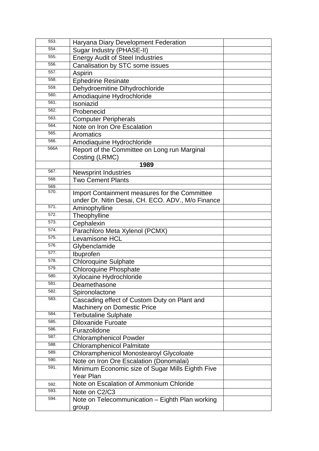| 553.         | Haryana Diary Development Federation              |  |
|--------------|---------------------------------------------------|--|
| 554.         | Sugar Industry (PHASE-II)                         |  |
| 555.         | <b>Energy Audit of Steel Industries</b>           |  |
| 556.         | Canalisation by STC some issues                   |  |
| 557.         | Aspirin                                           |  |
| 558.         | <b>Ephedrine Resinate</b>                         |  |
| 559.         | Dehydroemitine Dihydrochloride                    |  |
| 560.         | Amodiaquine Hydrochloride                         |  |
| 561.         | Isoniazid                                         |  |
| 562.         | Probenecid                                        |  |
| 563.         | <b>Computer Peripherals</b>                       |  |
| 564.         | Note on Iron Ore Escalation                       |  |
| 565.         | Aromatics                                         |  |
| 566.         | Amodiaquine Hydrochloride                         |  |
| 566A         | Report of the Committee on Long run Marginal      |  |
|              | Costing (LRMC)                                    |  |
|              | 1989                                              |  |
| 567.         | <b>Newsprint Industries</b>                       |  |
| 568.         | <b>Two Cement Plants</b>                          |  |
| 569.<br>570. |                                                   |  |
|              | Import Containment measures for the Committee     |  |
|              | under Dr. Nitin Desai, CH. ECO. ADV., M/o Finance |  |
| 571.         | Aminophylline                                     |  |
| 572.         | Theophylline                                      |  |
| 573.         | Cephalexin                                        |  |
| 574.         | Parachloro Meta Xylenol (PCMX)                    |  |
| 575.         | Levamisone HCL                                    |  |
| 576.         | Glybenclamide                                     |  |
| 577.         | Ibuprofen                                         |  |
| 578.         | <b>Chloroquine Sulphate</b>                       |  |
| 579.         | <b>Chloroquine Phosphate</b>                      |  |
| 580.         | <b>Xylocaine Hydrochloride</b>                    |  |
| 581.         | Deamethasone                                      |  |
| 582.         | Spironolactone                                    |  |
| 583.         | Cascading effect of Custom Duty on Plant and      |  |
|              | <b>Machinery on Domestic Price</b>                |  |
| 584.         | <b>Terbutaline Sulphate</b>                       |  |
| 585.         | <b>Diloxanide Furoate</b>                         |  |
| 586.         | Furazolidone                                      |  |
| 587.         | <b>Chloramphenicol Powder</b>                     |  |
| 588.         | <b>Chloramphenicol Palmitate</b>                  |  |
| 589.         | <b>Chloramphenicol Monostearoyl Glycoloate</b>    |  |
| 590.         | Note on Iron Ore Escalation (Donomalai)           |  |
| 591.         | Minimum Economic size of Sugar Mills Eighth Five  |  |
|              | <b>Year Plan</b>                                  |  |
| 592.         | Note on Escalation of Ammonium Chloride           |  |
| 593.         | Note on C2/C3                                     |  |
| 594.         | Note on Telecommunication - Eighth Plan working   |  |
|              | group                                             |  |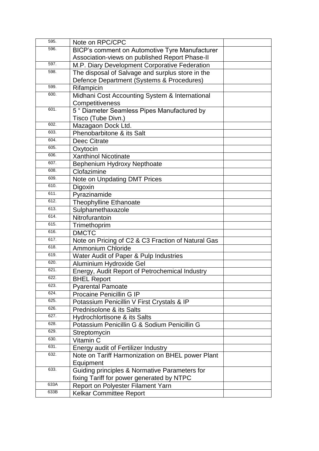| 595. | Note on RPC/CPC                                       |  |
|------|-------------------------------------------------------|--|
| 596. | <b>BICP's comment on Automotive Tyre Manufacturer</b> |  |
|      | Association-views on published Report Phase-II        |  |
| 597. | M.P. Diary Development Corporative Federation         |  |
| 598. | The disposal of Salvage and surplus store in the      |  |
|      | Defence Department (Systems & Procedures)             |  |
| 599. | Rifampicin                                            |  |
| 600. | Midhani Cost Accounting System & International        |  |
|      | Competitiveness                                       |  |
| 601. | 5 " Diameter Seamless Pipes Manufactured by           |  |
|      | Tisco (Tube Divn.)                                    |  |
| 602. | Mazagaon Dock Ltd.                                    |  |
| 603. | Phenobarbitone & its Salt                             |  |
| 604. | Deec Citrate                                          |  |
| 605. | Oxytocin                                              |  |
| 606. | <b>Xanthinol Nicotinate</b>                           |  |
| 607. | Bephenium Hydroxy Nepthoate                           |  |
| 608. | Clofazimine                                           |  |
| 609. | Note on Unpdating DMT Prices                          |  |
| 610. | Digoxin                                               |  |
| 611. | Pyrazinamide                                          |  |
| 612. | Theophylline Ethanoate                                |  |
| 613. | Sulphamethaxazole                                     |  |
| 614. | Nitrofurantoin                                        |  |
| 615. | Trimethoprim                                          |  |
| 616. | <b>DMCTC</b>                                          |  |
| 617. | Note on Pricing of C2 & C3 Fraction of Natural Gas    |  |
| 618. | <b>Ammonium Chloride</b>                              |  |
| 619. | Water Audit of Paper & Pulp Industries                |  |
| 620. | Aluminium Hydroxide Gel                               |  |
| 621. | Energy, Audit Report of Petrochemical Industry        |  |
| 622. | <b>BHEL Report</b>                                    |  |
| 623. | <b>Pyarental Pamoate</b>                              |  |
| 624. | Procaine Penicillin G IP                              |  |
| 625. | Potassium Penicillin V First Crystals & IP            |  |
| 626. | Prednisolone & its Salts                              |  |
| 627. | Hydrochlortisone & its Salts                          |  |
| 628. | Potassium Penicillin G & Sodium Penicillin G          |  |
| 629. | Streptomycin                                          |  |
| 630. | Vitamin C                                             |  |
| 631. | <b>Energy audit of Fertilizer Industry</b>            |  |
| 632. | Note on Tariff Harmonization on BHEL power Plant      |  |
|      | Equipment                                             |  |
| 633. | Guiding principles & Normative Parameters for         |  |
|      | fixing Tariff for power generated by NTPC             |  |
| 633A | Report on Polyester Filament Yarn                     |  |
| 633B | <b>Kelkar Committee Report</b>                        |  |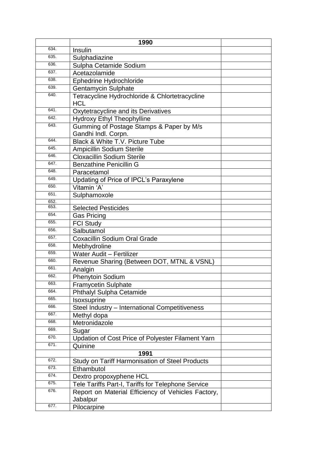|              | 1990                                                         |  |
|--------------|--------------------------------------------------------------|--|
| 634.         | Insulin                                                      |  |
| 635.         | Sulphadiazine                                                |  |
| 636.         | Sulpha Cetamide Sodium                                       |  |
| 637.         | Acetazolamide                                                |  |
| 638.         | Ephedrine Hydrochloride                                      |  |
| 639.         | <b>Gentamycin Sulphate</b>                                   |  |
| 640.         | Tetracycline Hydrochloride & Chlortetracycline<br><b>HCL</b> |  |
| 641.         | Oxytetracycline and its Derivatives                          |  |
| 642.         | <b>Hydroxy Ethyl Theophylline</b>                            |  |
| 643.         | Gumming of Postage Stamps & Paper by M/s                     |  |
|              | Gandhi Indl. Corpn.                                          |  |
| 644.         | Black & White T.V. Picture Tube                              |  |
| 645.         | <b>Ampicillin Sodium Sterile</b>                             |  |
| 646.         | <b>Cloxacillin Sodium Sterile</b>                            |  |
| 647.         | <b>Benzathine Penicillin G</b>                               |  |
| 648.         | Paracetamol                                                  |  |
| 649.         | Updating of Price of IPCL's Paraxylene                       |  |
| 650.         | Vitamin 'A'                                                  |  |
| 651.         | Sulphamoxole                                                 |  |
| 652.         |                                                              |  |
| 653.         | <b>Selected Pesticides</b>                                   |  |
| 654.         | <b>Gas Pricing</b>                                           |  |
| 655.         | <b>FCI Study</b>                                             |  |
| 656.         | Salbutamol                                                   |  |
| 657.         | <b>Coxacillin Sodium Oral Grade</b>                          |  |
| 658.         | Mebhydroline                                                 |  |
| 659.         | <b>Water Audit - Fertilizer</b>                              |  |
| 660.         | Revenue Sharing (Between DOT, MTNL & VSNL)                   |  |
| 661.         | Analgin                                                      |  |
| 662.         | <b>Phenytoin Sodium</b>                                      |  |
| 663.         | <b>Framycetin Sulphate</b>                                   |  |
| 664.<br>665. | Phthalyl Sulpha Cetamide                                     |  |
| 666.         | Isoxsuprine                                                  |  |
| 667.         | Steel Industry - International Competitiveness               |  |
| 668.         | Methyl dopa                                                  |  |
| 669.         | Metronidazole                                                |  |
| 670.         | Sugar                                                        |  |
| 671.         | Updation of Cost Price of Polyester Filament Yarn<br>Quinine |  |
|              | 1991                                                         |  |
| 672.         | Study on Tariff Harmonisation of Steel Products              |  |
| 673.         | Ethambutol                                                   |  |
| 674.         | Dextro propoxyphene HCL                                      |  |
| 675.         | Tele Tariffs Part-I, Tariffs for Telephone Service           |  |
| 676.         | Report on Material Efficiency of Vehicles Factory,           |  |
|              | Jabalpur                                                     |  |
| 677.         | Pilocarpine                                                  |  |
|              |                                                              |  |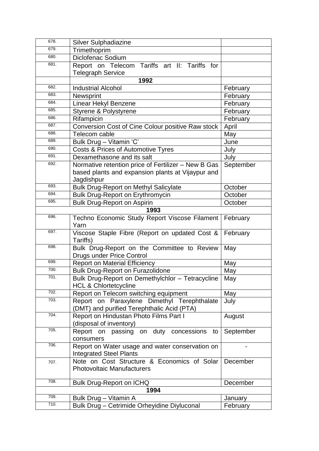| 678. | <b>Silver Sulphadiazine</b>                                                                                            |           |
|------|------------------------------------------------------------------------------------------------------------------------|-----------|
| 679. | Trimethoprim                                                                                                           |           |
| 680. | Diclofenac Sodium                                                                                                      |           |
| 681. | Report on Telecom Tariffs art II: Tariffs for<br><b>Telegraph Service</b>                                              |           |
|      | 1992                                                                                                                   |           |
| 682. | <b>Industrial Alcohol</b>                                                                                              | February  |
| 683. | Newsprint                                                                                                              | February  |
| 684. |                                                                                                                        | February  |
| 685. | Linear Hekyl Benzene                                                                                                   | February  |
| 686. | Styrene & Polystyrene                                                                                                  |           |
| 687. | Rifampicin                                                                                                             | February  |
| 688. | Conversion Cost of Cine Colour positive Raw stock                                                                      | April     |
| 689. | Telecom cable                                                                                                          | May       |
| 690. | Bulk Drug - Vitamin 'C'                                                                                                | June      |
| 691. | Costs & Prices of Automotive Tyres                                                                                     | July      |
|      | Dexamethasone and its salt                                                                                             | July      |
| 692. | Normative retention price of Fertilizer - New B Gas<br>based plants and expansion plants at Vijaypur and<br>Jagdishpur | September |
| 693. | <b>Bulk Drug-Report on Methyl Salicylate</b>                                                                           | October   |
| 694. | <b>Bulk Drug-Report on Erythromycin</b>                                                                                | October   |
| 695. | <b>Bulk Drug-Report on Aspirin</b>                                                                                     | October   |
|      | 1993                                                                                                                   |           |
| 696. | Techno Economic Study Report Viscose Filament<br>Yarn                                                                  | February  |
| 697. | Viscose Staple Fibre (Report on updated Cost &<br>Tariffs)                                                             | February  |
| 698. | Bulk Drug-Report on the Committee to Review<br><b>Drugs under Price Control</b>                                        | May       |
| 699. | <b>Report on Material Efficiency</b>                                                                                   | May       |
| 700. | <b>Bulk Drug-Report on Furazolidone</b>                                                                                | May       |
| 701. | Bulk Drug-Report on Demethylchlor - Tetracycline<br><b>HCL &amp; Chlortetcycline</b>                                   | May       |
| 702. | Report on Telecom switching equipment                                                                                  | May       |
| 703. | Report on Paraxylene Dimethyl Terephthalate<br>(DMT) and purified Terephthalic Acid (PTA)                              | July      |
| 704. | Report on Hindustan Photo Films Part I<br>(disposal of inventory)                                                      | August    |
| 705. | Report on passing on duty concessions<br>to<br>consumers                                                               | September |
| 706. | Report on Water usage and water conservation on<br><b>Integrated Steel Plants</b>                                      |           |
| 707. | Note on Cost Structure & Economics of Solar<br><b>Photovoltaic Manufacturers</b>                                       | December  |
| 708. | <b>Bulk Drug-Report on ICHQ</b>                                                                                        | December  |
|      | 1994                                                                                                                   |           |
| 709. | Bulk Drug - Vitamin A                                                                                                  | January   |
| 710. | Bulk Drug - Cetrimide Orheyidine Diyluconal                                                                            | February  |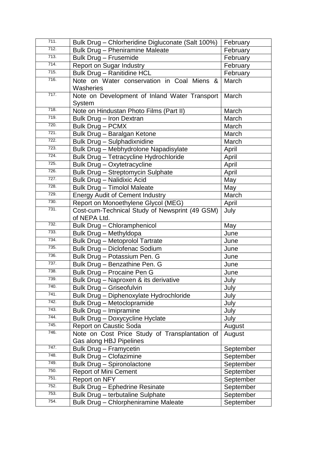| 711. | Bulk Drug - Chlorheridine Digluconate (Salt 100%)              | February  |
|------|----------------------------------------------------------------|-----------|
| 712. | <b>Bulk Drug - Pheniramine Maleate</b>                         | February  |
| 713. | <b>Bulk Drug - Frusemide</b>                                   | February  |
| 714. | <b>Report on Sugar Industry</b>                                | February  |
| 715. | <b>Bulk Drug - Ranitidine HCL</b>                              | February  |
| 716. | Note on Water conservation in Coal Miens &<br>Washeries        | March     |
| 717. | Note on Development of Inland Water Transport<br>System        | March     |
| 718. | Note on Hindustan Photo Films (Part II)                        | March     |
| 719. | Bulk Drug - Iron Dextran                                       | March     |
| 720. | Bulk Drug - PCMX                                               | March     |
| 721. | Bulk Drug - Baralgan Ketone                                    | March     |
| 722. | Bulk Drug - Sulphadixnidine                                    | March     |
| 723. | Bulk Drug - Mebhydrolone Napadisylate                          | April     |
| 724. | Bulk Drug - Tetracycline Hydrochloride                         | April     |
| 725. | Bulk Drug - Oxytetracycline                                    | April     |
| 726. | Bulk Drug - Streptomycin Sulphate                              | April     |
| 727. | <b>Bulk Drug - Nalidixic Acid</b>                              | May       |
| 728. | <b>Bulk Drug - Timolol Maleate</b>                             | May       |
| 729. | <b>Energy Audit of Cement Industry</b>                         | March     |
| 730. | Report on Monoethylene Glycol (MEG)                            | April     |
| 731. | Cost-cum-Technical Study of Newsprint (49 GSM)<br>of NEPA Ltd. | July      |
| 732. | Bulk Drug - Chloramphenicol                                    | May       |
| 733. | Bulk Drug - Methyldopa                                         | June      |
| 734. | <b>Bulk Drug - Metoprolol Tartrate</b>                         | June      |
| 735. | Bulk Drug - Diclofenac Sodium                                  | June      |
| 736. | Bulk Drug - Potassium Pen. G                                   | June      |
| 737. | Bulk Drug - Benzathine Pen. G                                  | June      |
| 738. | Bulk Drug - Procaine Pen G                                     | June      |
| 739. | Bulk Drug - Naproxen & its derivative                          | July      |
| 740. | Bulk Drug - Griseofulvin                                       | July      |
| 741. | Bulk Drug - Diphenoxylate Hydrochloride                        | July      |
| 742. | Bulk Drug - Metoclopramide                                     | July      |
| 743. | Bulk Drug - Imipramine                                         | July      |
| 744. | Bulk Drug - Doxycycline Hyclate                                | July      |
| 745. | <b>Report on Caustic Soda</b>                                  | August    |
| 746. | Note on Cost Price Study of Transplantation of                 | August    |
|      | Gas along HBJ Pipelines                                        |           |
| 747. | Bulk Drug - Framycetin                                         | September |
| 748. | <b>Bulk Drug - Clofazimine</b>                                 | September |
| 749. | Bulk Drug - Spironolactone                                     | September |
| 750. | <b>Report of Mini Cement</b>                                   | September |
| 751. | Report on NFY                                                  | September |
| 752. | Bulk Drug - Ephedrine Resinate                                 | September |
| 753. | Bulk Drug - terbutaline Sulphate                               | September |
| 754. | Bulk Drug - Chlorpheniramine Maleate                           | September |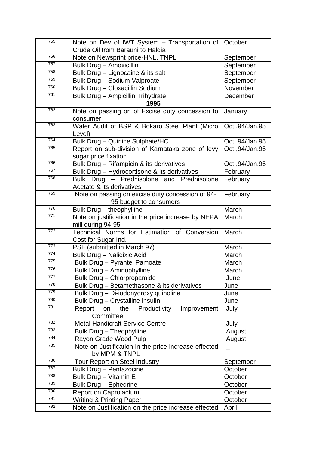| 755. | Note on Dev of IWT System $-$ Transportation of $\vert$ October            |                  |
|------|----------------------------------------------------------------------------|------------------|
|      | Crude Oil from Barauni to Haldia                                           |                  |
| 756. | Note on Newsprint price-HNL, TNPL                                          | September        |
| 757. | Bulk Drug - Amoxicillin                                                    | September        |
| 758. | Bulk Drug - Lignocaine & its salt                                          | September        |
| 759. | Bulk Drug - Sodium Valproate                                               | September        |
| 760. | Bulk Drug - Cloxacillin Sodium                                             | November         |
| 761. | Bulk Drug - Ampicillin Trihydrate                                          | December         |
|      | 1995                                                                       |                  |
| 762. | Note on passing on of Excise duty concession to<br>consumer                | January          |
| 763. | Water Audit of BSP & Bokaro Steel Plant (Micro<br>Level)                   | Oct., 94/Jan. 95 |
| 764. | Bulk Drug - Quinine Sulphate/HC                                            | Oct., 94/Jan. 95 |
| 765. | Report on sub-division of Karnataka zone of levy<br>sugar price fixation   | Oct., 94/Jan. 95 |
| 766. | Bulk Drug - Rifampicin & its derivatives                                   | Oct., 94/Jan. 95 |
| 767. | Bulk Drug - Hydrocortisone & its derivatives                               | February         |
| 768. | Bulk Drug - Prednisolone and Prednisolone<br>Acetate & its derivatives     | February         |
| 769. | Note on passing on excise duty concession of 94-<br>95 budget to consumers | February         |
| 770. | Bulk Drug - theophylline                                                   | March            |
| 771. | Note on justification in the price increase by NEPA<br>mill during 94-95   | March            |
| 772. | Technical Norms for Estimation of Conversion<br>Cost for Sugar Ind.        | March            |
| 773. | PSF (submitted in March 97)                                                | March            |
| 774. | <b>Bulk Drug - Nalidixic Acid</b>                                          | March            |
| 775. | <b>Bulk Drug - Pyrantel Pamoate</b>                                        | March            |
| 776. | <b>Bulk Drug - Aminophylline</b>                                           | March            |
| 777. | Bulk Drug - Chlorpropamide                                                 | June             |
| 778. | Bulk Drug - Betamethasone & its derivatives                                | June             |
| 779. | Bulk Drug - Di-iodonydroxy quinoline                                       | June             |
| 780. | Bulk Drug - Crystalline insulin                                            | June             |
| 781. | the<br>Productivity<br>Improvement<br>Report<br>on<br>Committee            | July             |
| 782. | <b>Metal Handicraft Service Centre</b>                                     | July             |
| 783. | Bulk Drug - Theophylline                                                   | August           |
| 784. | Rayon Grade Wood Pulp                                                      | August           |
| 785. | Note on Justification in the price increase effected<br>by MPM & TNPL      |                  |
| 786. | Tour Report on Steel Industry                                              | September        |
| 787. | <b>Bulk Drug - Pentazocine</b>                                             | October          |
| 788. | Bulk Drug - Vitamin E                                                      | October          |
| 789. | <b>Bulk Drug - Ephedrine</b>                                               | October          |
| 790. | Report on Caprolactum                                                      | October          |
| 791. | <b>Writing &amp; Printing Paper</b>                                        | October          |
| 792. | Note on Justification on the price increase effected                       | April            |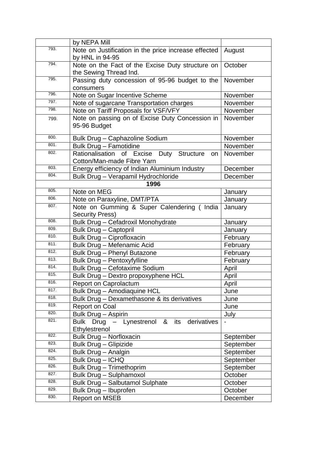|      | by NEPA Mill                                                                   |           |
|------|--------------------------------------------------------------------------------|-----------|
| 793. | Note on Justification in the price increase effected<br>by HNL in 94-95        | August    |
| 794. | Note on the Fact of the Excise Duty structure on<br>the Sewing Thread Ind.     | October   |
| 795. | Passing duty concession of 95-96 budget to the<br>consumers                    | November  |
| 796. | Note on Sugar Incentive Scheme                                                 | November  |
| 797. | Note of sugarcane Transportation charges                                       | November  |
| 798. | Note on Tariff Proposals for VSF/VFY                                           | November  |
| 799. | Note on passing on of Excise Duty Concession in<br>95-96 Budget                | November  |
| 800. | Bulk Drug - Caphazoline Sodium                                                 | November  |
| 801. | Bulk Drug - Famotidine                                                         | November  |
| 802. | Rationalisation of Excise Duty Structure<br>on l<br>Cotton/Man-made Fibre Yarn | November  |
| 803. | Energy efficiency of Indian Aluminium Industry                                 | December  |
| 804. | Bulk Drug - Verapamil Hydrochloride                                            | December  |
|      | 1996                                                                           |           |
| 805. | Note on MEG                                                                    | January   |
| 806. | Note on Paraxyline, DMT/PTA                                                    | January   |
| 807. | Note on Gumming & Super Calendering (India<br><b>Security Press)</b>           | January   |
| 808. | Bulk Drug - Cefadroxil Monohydrate                                             | January   |
| 809. | <b>Bulk Drug - Captopril</b>                                                   | January   |
| 810. | Bulk Drug - Ciprofloxacin                                                      | February  |
| 811. | Bulk Drug - Mefenamic Acid                                                     | February  |
| 812. | Bulk Drug - Phenyl Butazone                                                    | February  |
| 813. | Bulk Drug - Pentoxyfylline                                                     | February  |
| 814. | Bulk Drug - Cefotaxime Sodium                                                  | April     |
| 815. | Bulk Drug - Dextro propoxyphene HCL                                            | April     |
| 816. | Report on Caprolactum                                                          | April     |
| 817. | <b>Bulk Drug - Amodiaquine HCL</b>                                             | June      |
| 818. | Bulk Drug - Dexamethasone & its derivatives                                    | June      |
| 819. | <b>Report on Coal</b>                                                          | June      |
| 820. | Bulk Drug - Aspirin                                                            | July      |
| 821. | Bulk Drug - Lynestrenol & its<br>derivatives<br>Ethylestrenol                  |           |
| 822. | <b>Bulk Drug - Norfloxacin</b>                                                 | September |
| 823. | <b>Bulk Drug - Glipizide</b>                                                   | September |
| 824. | Bulk Drug - Analgin                                                            | September |
| 825. | Bulk Drug - ICHQ                                                               | September |
| 826. | <b>Bulk Drug - Trimethoprim</b>                                                | September |
| 827. | Bulk Drug - Sulphamoxol                                                        | October   |
| 828. | <b>Bulk Drug - Salbutamol Sulphate</b>                                         | October   |
| 829. | Bulk Drug - Ibuprofen                                                          | October   |
| 830. | <b>Report on MSEB</b>                                                          | December  |